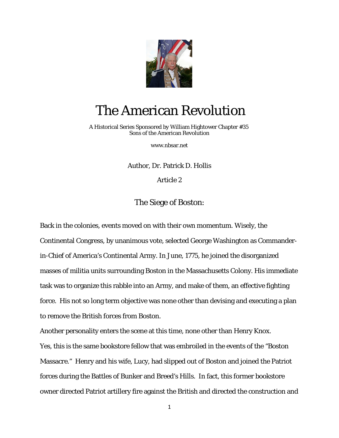

## The American Revolution

 A Historical Series Sponsored by William Hightower Chapter #35 Sons of the American Revolution

[www.nbsar.net](http://www.nbsar.net/)

Author, Dr. Patrick D. Hollis

Article 2

The Siege of Boston:

Back in the colonies, events moved on with their own momentum. Wisely, the Continental Congress, by unanimous vote, selected George Washington as Commanderin-Chief of America's Continental Army. In June, 1775, he joined the disorganized masses of militia units surrounding Boston in the Massachusetts Colony. His immediate task was to organize this rabble into an Army, and make of them, an effective fighting force. His not so long term objective was none other than devising and executing a plan to remove the British forces from Boston.

Another personality enters the scene at this time, none other than Henry Knox. Yes, this is the same bookstore fellow that was embroiled in the events of the "Boston Massacre." Henry and his wife, Lucy, had slipped out of Boston and joined the Patriot forces during the Battles of Bunker and Breed's Hills. In fact, this former bookstore owner directed Patriot artillery fire against the British and directed the construction and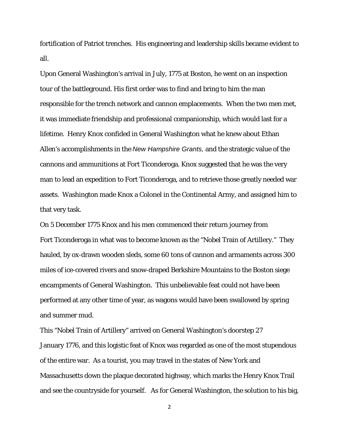fortification of Patriot trenches. His engineering and leadership skills became evident to all.

Upon General Washington's arrival in July, 1775 at Boston, he went on an inspection tour of the battleground. His first order was to find and bring to him the man responsible for the trench network and cannon emplacements. When the two men met, it was immediate friendship and professional companionship, which would last for a lifetime. Henry Knox confided in General Washington what he knew about Ethan Allen's accomplishments in the *New Hampshire Grants,* and the strategic value of the cannons and ammunitions at Fort Ticonderoga. Knox suggested that he was the very man to lead an expedition to Fort Ticonderoga, and to retrieve those greatly needed war assets. Washington made Knox a Colonel in the Continental Army, and assigned him to that very task.

On 5 December 1775 Knox and his men commenced their return journey from Fort Ticonderoga in what was to become known as the "Nobel Train of Artillery." They hauled, by ox-drawn wooden sleds, some 60 tons of cannon and armaments across 300 miles of ice-covered rivers and snow-draped Berkshire Mountains to the Boston siege encampments of General Washington. This unbelievable feat could not have been performed at any other time of year, as wagons would have been swallowed by spring and summer mud.

This "Nobel Train of Artillery" arrived on General Washington's doorstep 27 January 1776, and this logistic feat of Knox was regarded as one of the most stupendous of the entire war. As a tourist, you may travel in the states of New York and Massachusetts down the plaque decorated highway, which marks the Henry Knox Trail and see the countryside for yourself. As for General Washington, the solution to his big,

2